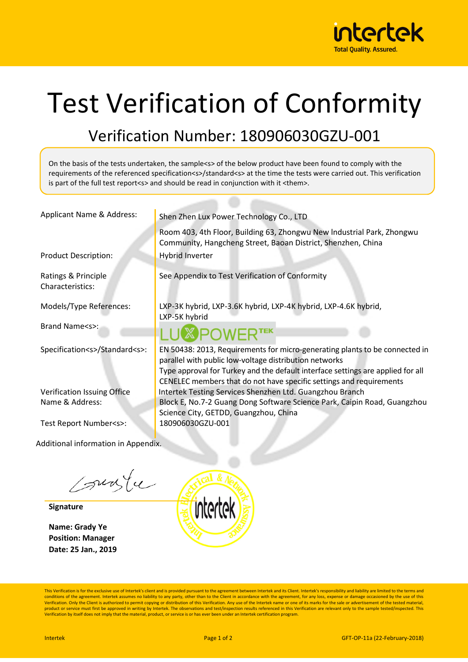

## Test Verification of Conformity

## Verification Number: 180906030GZU-001

On the basis of the tests undertaken, the sample<s> of the below product have been found to comply with the requirements of the referenced specification<s>/standard<s> at the time the tests were carried out. This verification is part of the full test report<s> and should be read in conjunction with it <them>.

| Applicant Name & Address:               | Shen Zhen Lux Power Technology Co., LTD                                                                                                                                                                                                                                                         |  |
|-----------------------------------------|-------------------------------------------------------------------------------------------------------------------------------------------------------------------------------------------------------------------------------------------------------------------------------------------------|--|
|                                         | Room 403, 4th Floor, Building 63, Zhongwu New Industrial Park, Zhongwu<br>Community, Hangcheng Street, Baoan District, Shenzhen, China                                                                                                                                                          |  |
| <b>Product Description:</b>             | <b>Hybrid Inverter</b>                                                                                                                                                                                                                                                                          |  |
| Ratings & Principle<br>Characteristics: | See Appendix to Test Verification of Conformity                                                                                                                                                                                                                                                 |  |
| Models/Type References:                 | LXP-3K hybrid, LXP-3.6K hybrid, LXP-4K hybrid, LXP-4.6K hybrid,<br>LXP-5K hybrid                                                                                                                                                                                                                |  |
| Brand Name <s>:</s>                     | <b>SPOWERTEK</b>                                                                                                                                                                                                                                                                                |  |
| Specification <s>/Standard<s>:</s></s>  | EN 50438: 2013, Requirements for micro-generating plants to be connected in<br>parallel with public low-voltage distribution networks<br>Type approval for Turkey and the default interface settings are applied for all<br>CENELEC members that do not have specific settings and requirements |  |
| Verification Issuing Office             | Intertek Testing Services Shenzhen Ltd. Guangzhou Branch                                                                                                                                                                                                                                        |  |
| Name & Address:                         | Block E, No.7-2 Guang Dong Software Science Park, Caipin Road, Guangzhou<br>Science City, GETDD, Guangzhou, China                                                                                                                                                                               |  |
| Test Report Number <s>:</s>             | 180906030GZU-001                                                                                                                                                                                                                                                                                |  |

Additional information in Appendix.

surfu

**Signature**

**Name: Grady Ye Position: Manager Date: 25 Jan., 2019**



This Verification is for the exclusive use of Intertek's client and is provided pursuant to the agreement between Intertek and its Client. Intertek's responsibility and liability are limited to the terms and conditions of the agreement. Intertek assumes no liability to any party, other than to the Client in accordance with the agreement, for any loss, expense or damage occasioned by the use of this<br>Verification. Only the Clien product or service must first be approved in writing by Intertek. The observations and test/inspection results referenced in this Verification are relevant only to the sample tested/inspected. This<br>Verification by itself d